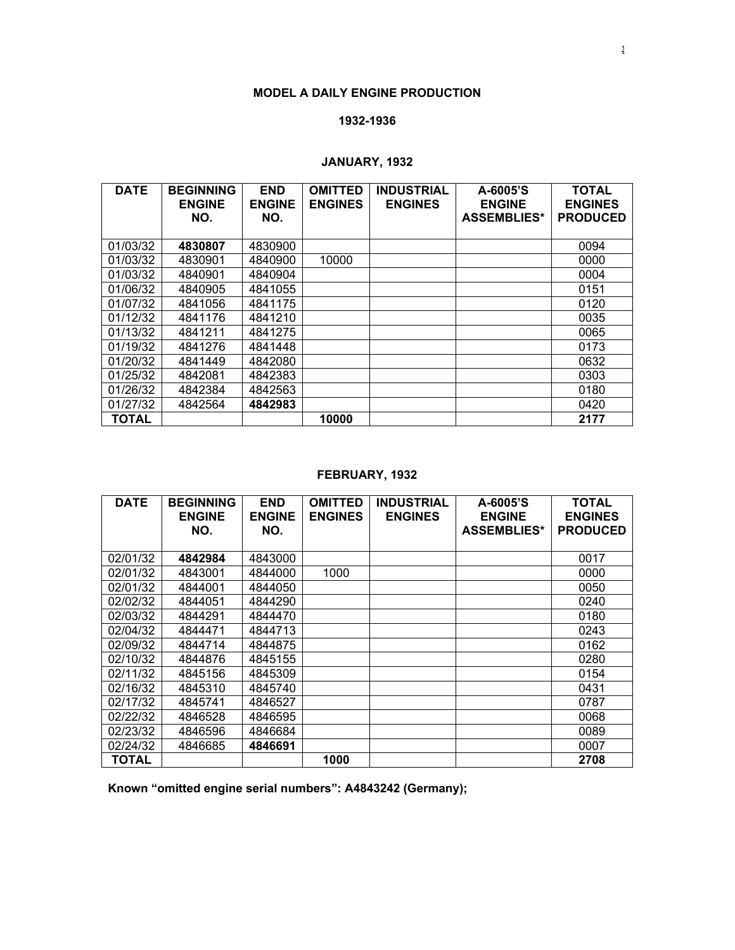#### **MODEL A DAILY ENGINE PRODUCTION**

#### **1932-1936**

## **JANUARY, 1932**

| <b>DATE</b>  | <b>BEGINNING</b><br><b>ENGINE</b> | <b>END</b><br><b>ENGINE</b> | <b>OMITTED</b><br><b>ENGINES</b> | <b>INDUSTRIAL</b><br><b>ENGINES</b> | A-6005'S<br><b>ENGINE</b> | <b>TOTAL</b><br><b>ENGINES</b> |
|--------------|-----------------------------------|-----------------------------|----------------------------------|-------------------------------------|---------------------------|--------------------------------|
|              | NO.                               | NO.                         |                                  |                                     | <b>ASSEMBLIES*</b>        | <b>PRODUCED</b>                |
|              |                                   |                             |                                  |                                     |                           |                                |
| 01/03/32     | 4830807                           | 4830900                     |                                  |                                     |                           | 0094                           |
| 01/03/32     | 4830901                           | 4840900                     | 10000                            |                                     |                           | 0000                           |
| 01/03/32     | 4840901                           | 4840904                     |                                  |                                     |                           | 0004                           |
| 01/06/32     | 4840905                           | 4841055                     |                                  |                                     |                           | 0151                           |
| 01/07/32     | 4841056                           | 4841175                     |                                  |                                     |                           | 0120                           |
| 01/12/32     | 4841176                           | 4841210                     |                                  |                                     |                           | 0035                           |
| 01/13/32     | 4841211                           | 4841275                     |                                  |                                     |                           | 0065                           |
| 01/19/32     | 4841276                           | 4841448                     |                                  |                                     |                           | 0173                           |
| 01/20/32     | 4841449                           | 4842080                     |                                  |                                     |                           | 0632                           |
| 01/25/32     | 4842081                           | 4842383                     |                                  |                                     |                           | 0303                           |
| 01/26/32     | 4842384                           | 4842563                     |                                  |                                     |                           | 0180                           |
| 01/27/32     | 4842564                           | 4842983                     |                                  |                                     |                           | 0420                           |
| <b>TOTAL</b> |                                   |                             | 10000                            |                                     |                           | 2177                           |

## **FEBRUARY, 1932**

| <b>DATE</b>  | <b>BEGINNING</b><br><b>ENGINE</b> | <b>END</b><br><b>ENGINE</b> | <b>OMITTED</b><br><b>ENGINES</b> | <b>INDUSTRIAL</b><br><b>ENGINES</b> | $A - 6005$ 'S<br><b>ENGINE</b> | <b>TOTAL</b><br><b>ENGINES</b> |
|--------------|-----------------------------------|-----------------------------|----------------------------------|-------------------------------------|--------------------------------|--------------------------------|
|              | NO.                               | NO.                         |                                  |                                     | <b>ASSEMBLIES*</b>             | <b>PRODUCED</b>                |
| 02/01/32     | 4842984                           | 4843000                     |                                  |                                     |                                | 0017                           |
| 02/01/32     | 4843001                           | 4844000                     | 1000                             |                                     |                                | 0000                           |
| 02/01/32     | 4844001                           | 4844050                     |                                  |                                     |                                | 0050                           |
| 02/02/32     | 4844051                           | 4844290                     |                                  |                                     |                                | 0240                           |
| 02/03/32     | 4844291                           | 4844470                     |                                  |                                     |                                | 0180                           |
| 02/04/32     | 4844471                           | 4844713                     |                                  |                                     |                                | 0243                           |
| 02/09/32     | 4844714                           | 4844875                     |                                  |                                     |                                | 0162                           |
| 02/10/32     | 4844876                           | 4845155                     |                                  |                                     |                                | 0280                           |
| 02/11/32     | 4845156                           | 4845309                     |                                  |                                     |                                | 0154                           |
| 02/16/32     | 4845310                           | 4845740                     |                                  |                                     |                                | 0431                           |
| 02/17/32     | 4845741                           | 4846527                     |                                  |                                     |                                | 0787                           |
| 02/22/32     | 4846528                           | 4846595                     |                                  |                                     |                                | 0068                           |
| 02/23/32     | 4846596                           | 4846684                     |                                  |                                     |                                | 0089                           |
| 02/24/32     | 4846685                           | 4846691                     |                                  |                                     |                                | 0007                           |
| <b>TOTAL</b> |                                   |                             | 1000                             |                                     |                                | 2708                           |

**Known "omitted engine serial numbers": A4843242 (Germany);**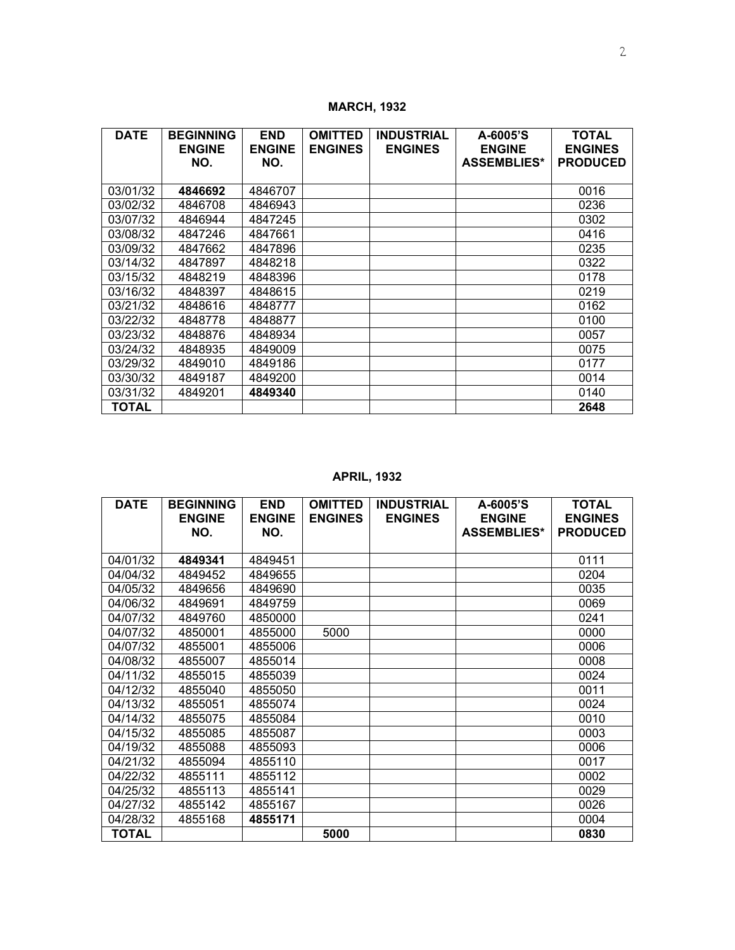| <b>DATE</b>  | <b>BEGINNING</b> | <b>END</b>    | <b>OMITTED</b> | <b>INDUSTRIAL</b> | A-6005'S           | <b>TOTAL</b>    |
|--------------|------------------|---------------|----------------|-------------------|--------------------|-----------------|
|              | <b>ENGINE</b>    | <b>ENGINE</b> | <b>ENGINES</b> | <b>ENGINES</b>    | <b>ENGINE</b>      | <b>ENGINES</b>  |
|              | NO.              | NO.           |                |                   | <b>ASSEMBLIES*</b> | <b>PRODUCED</b> |
|              |                  |               |                |                   |                    |                 |
| 03/01/32     | 4846692          | 4846707       |                |                   |                    | 0016            |
| 03/02/32     | 4846708          | 4846943       |                |                   |                    | 0236            |
| 03/07/32     | 4846944          | 4847245       |                |                   |                    | 0302            |
| 03/08/32     | 4847246          | 4847661       |                |                   |                    | 0416            |
| 03/09/32     | 4847662          | 4847896       |                |                   |                    | 0235            |
| 03/14/32     | 4847897          | 4848218       |                |                   |                    | 0322            |
| 03/15/32     | 4848219          | 4848396       |                |                   |                    | 0178            |
| 03/16/32     | 4848397          | 4848615       |                |                   |                    | 0219            |
| 03/21/32     | 4848616          | 4848777       |                |                   |                    | 0162            |
| 03/22/32     | 4848778          | 4848877       |                |                   |                    | 0100            |
| 03/23/32     | 4848876          | 4848934       |                |                   |                    | 0057            |
| 03/24/32     | 4848935          | 4849009       |                |                   |                    | 0075            |
| 03/29/32     | 4849010          | 4849186       |                |                   |                    | 0177            |
| 03/30/32     | 4849187          | 4849200       |                |                   |                    | 0014            |
| 03/31/32     | 4849201          | 4849340       |                |                   |                    | 0140            |
| <b>TOTAL</b> |                  |               |                |                   |                    | 2648            |

**MARCH, 1932** 

## **APRIL, 1932**

| <b>DATE</b> | <b>BEGINNING</b><br><b>ENGINE</b> | <b>END</b><br><b>ENGINE</b> | <b>OMITTED</b><br><b>ENGINES</b> | <b>INDUSTRIAL</b><br><b>ENGINES</b> | A-6005'S<br><b>ENGINE</b> | <b>TOTAL</b><br><b>ENGINES</b> |
|-------------|-----------------------------------|-----------------------------|----------------------------------|-------------------------------------|---------------------------|--------------------------------|
|             | NO.                               | NO.                         |                                  |                                     | <b>ASSEMBLIES*</b>        | <b>PRODUCED</b>                |
|             |                                   |                             |                                  |                                     |                           |                                |
| 04/01/32    | 4849341                           | 4849451                     |                                  |                                     |                           | 0111                           |
| 04/04/32    | 4849452                           | 4849655                     |                                  |                                     |                           | 0204                           |
| 04/05/32    | 4849656                           | 4849690                     |                                  |                                     |                           | 0035                           |
| 04/06/32    | 4849691                           | 4849759                     |                                  |                                     |                           | 0069                           |
| 04/07/32    | 4849760                           | 4850000                     |                                  |                                     |                           | 0241                           |
| 04/07/32    | 4850001                           | 4855000                     | 5000                             |                                     |                           | 0000                           |
| 04/07/32    | 4855001                           | 4855006                     |                                  |                                     |                           | 0006                           |
| 04/08/32    | 4855007                           | 4855014                     |                                  |                                     |                           | 0008                           |
| 04/11/32    | 4855015                           | 4855039                     |                                  |                                     |                           | 0024                           |
| 04/12/32    | 4855040                           | 4855050                     |                                  |                                     |                           | 0011                           |
| 04/13/32    | 4855051                           | 4855074                     |                                  |                                     |                           | 0024                           |
| 04/14/32    | 4855075                           | 4855084                     |                                  |                                     |                           | 0010                           |
| 04/15/32    | 4855085                           | 4855087                     |                                  |                                     |                           | 0003                           |
| 04/19/32    | 4855088                           | 4855093                     |                                  |                                     |                           | 0006                           |
| 04/21/32    | 4855094                           | 4855110                     |                                  |                                     |                           | 0017                           |
| 04/22/32    | 4855111                           | 4855112                     |                                  |                                     |                           | 0002                           |
| 04/25/32    | 4855113                           | 4855141                     |                                  |                                     |                           | 0029                           |
| 04/27/32    | 4855142                           | 4855167                     |                                  |                                     |                           | 0026                           |
| 04/28/32    | 4855168                           | 4855171                     |                                  |                                     |                           | 0004                           |
| TOTAL       |                                   |                             | 5000                             |                                     |                           | 0830                           |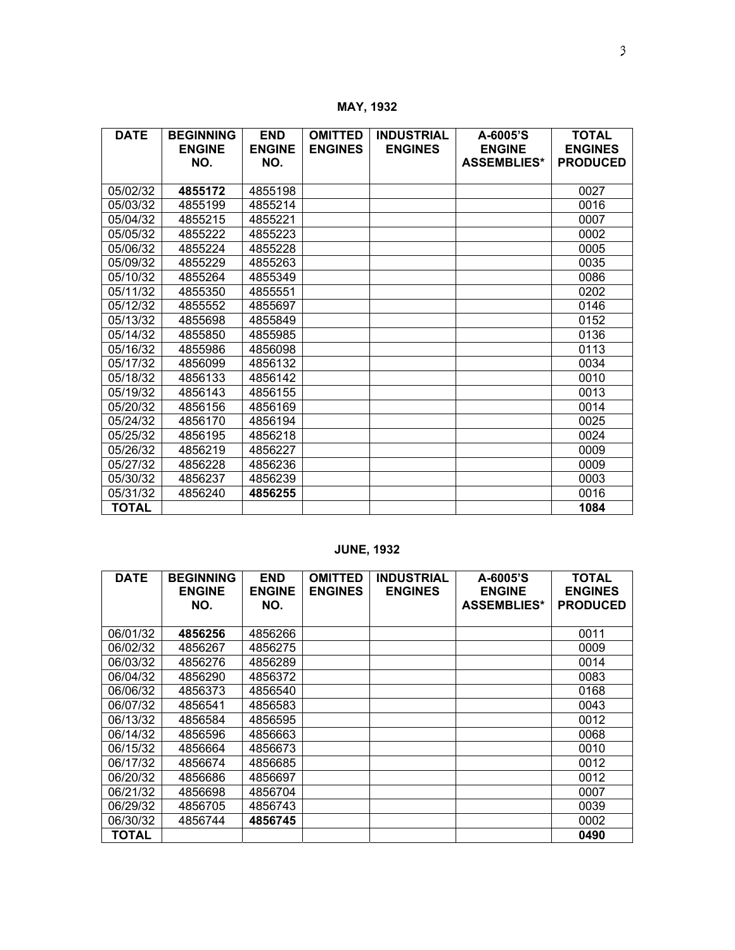**MAY, 1932** 

| <b>DATE</b>  | <b>BEGINNING</b><br><b>ENGINE</b> | <b>END</b><br><b>ENGINE</b> | <b>OMITTED</b><br><b>ENGINES</b> | <b>INDUSTRIAL</b><br><b>ENGINES</b> | A-6005'S<br><b>ENGINE</b> | <b>TOTAL</b><br><b>ENGINES</b> |
|--------------|-----------------------------------|-----------------------------|----------------------------------|-------------------------------------|---------------------------|--------------------------------|
|              | NO.                               | NO.                         |                                  |                                     | <b>ASSEMBLIES*</b>        | <b>PRODUCED</b>                |
|              |                                   |                             |                                  |                                     |                           |                                |
| 05/02/32     | 4855172                           | 4855198                     |                                  |                                     |                           | 0027                           |
| 05/03/32     | 4855199                           | 4855214                     |                                  |                                     |                           | 0016                           |
| 05/04/32     | 4855215                           | 4855221                     |                                  |                                     |                           | 0007                           |
| 05/05/32     | 4855222                           | 4855223                     |                                  |                                     |                           | 0002                           |
| 05/06/32     | 4855224                           | 4855228                     |                                  |                                     |                           | 0005                           |
| 05/09/32     | 4855229                           | 4855263                     |                                  |                                     |                           | 0035                           |
| 05/10/32     | 4855264                           | 4855349                     |                                  |                                     |                           | 0086                           |
| 05/11/32     | 4855350                           | 4855551                     |                                  |                                     |                           | 0202                           |
| 05/12/32     | 4855552                           | 4855697                     |                                  |                                     |                           | 0146                           |
| 05/13/32     | 4855698                           | 4855849                     |                                  |                                     |                           | 0152                           |
| 05/14/32     | 4855850                           | 4855985                     |                                  |                                     |                           | 0136                           |
| 05/16/32     | 4855986                           | 4856098                     |                                  |                                     |                           | 0113                           |
| 05/17/32     | 4856099                           | 4856132                     |                                  |                                     |                           | 0034                           |
| 05/18/32     | 4856133                           | 4856142                     |                                  |                                     |                           | 0010                           |
| 05/19/32     | 4856143                           | 4856155                     |                                  |                                     |                           | 0013                           |
| 05/20/32     | 4856156                           | 4856169                     |                                  |                                     |                           | 0014                           |
| 05/24/32     | 4856170                           | 4856194                     |                                  |                                     |                           | 0025                           |
| 05/25/32     | 4856195                           | 4856218                     |                                  |                                     |                           | 0024                           |
| 05/26/32     | 4856219                           | 4856227                     |                                  |                                     |                           | 0009                           |
| 05/27/32     | 4856228                           | 4856236                     |                                  |                                     |                           | 0009                           |
| 05/30/32     | 4856237                           | 4856239                     |                                  |                                     |                           | 0003                           |
| 05/31/32     | 4856240                           | 4856255                     |                                  |                                     |                           | 0016                           |
| <b>TOTAL</b> |                                   |                             |                                  |                                     |                           | 1084                           |

# **JUNE, 1932**

| <b>DATE</b> | <b>BEGINNING</b><br><b>ENGINE</b> | <b>END</b><br><b>ENGINE</b> | <b>OMITTED</b><br><b>ENGINES</b> | <b>INDUSTRIAL</b><br><b>ENGINES</b> | A-6005'S<br><b>ENGINE</b> | <b>TOTAL</b><br><b>ENGINES</b> |
|-------------|-----------------------------------|-----------------------------|----------------------------------|-------------------------------------|---------------------------|--------------------------------|
|             | NO.                               | NO.                         |                                  |                                     | <b>ASSEMBLIES*</b>        | <b>PRODUCED</b>                |
|             |                                   |                             |                                  |                                     |                           |                                |
| 06/01/32    | 4856256                           | 4856266                     |                                  |                                     |                           | 0011                           |
| 06/02/32    | 4856267                           | 4856275                     |                                  |                                     |                           | 0009                           |
| 06/03/32    | 4856276                           | 4856289                     |                                  |                                     |                           | 0014                           |
| 06/04/32    | 4856290                           | 4856372                     |                                  |                                     |                           | 0083                           |
| 06/06/32    | 4856373                           | 4856540                     |                                  |                                     |                           | 0168                           |
| 06/07/32    | 4856541                           | 4856583                     |                                  |                                     |                           | 0043                           |
| 06/13/32    | 4856584                           | 4856595                     |                                  |                                     |                           | 0012                           |
| 06/14/32    | 4856596                           | 4856663                     |                                  |                                     |                           | 0068                           |
| 06/15/32    | 4856664                           | 4856673                     |                                  |                                     |                           | 0010                           |
| 06/17/32    | 4856674                           | 4856685                     |                                  |                                     |                           | 0012                           |
| 06/20/32    | 4856686                           | 4856697                     |                                  |                                     |                           | 0012                           |
| 06/21/32    | 4856698                           | 4856704                     |                                  |                                     |                           | 0007                           |
| 06/29/32    | 4856705                           | 4856743                     |                                  |                                     |                           | 0039                           |
| 06/30/32    | 4856744                           | 4856745                     |                                  |                                     |                           | 0002                           |
| TOTAL       |                                   |                             |                                  |                                     |                           | 0490                           |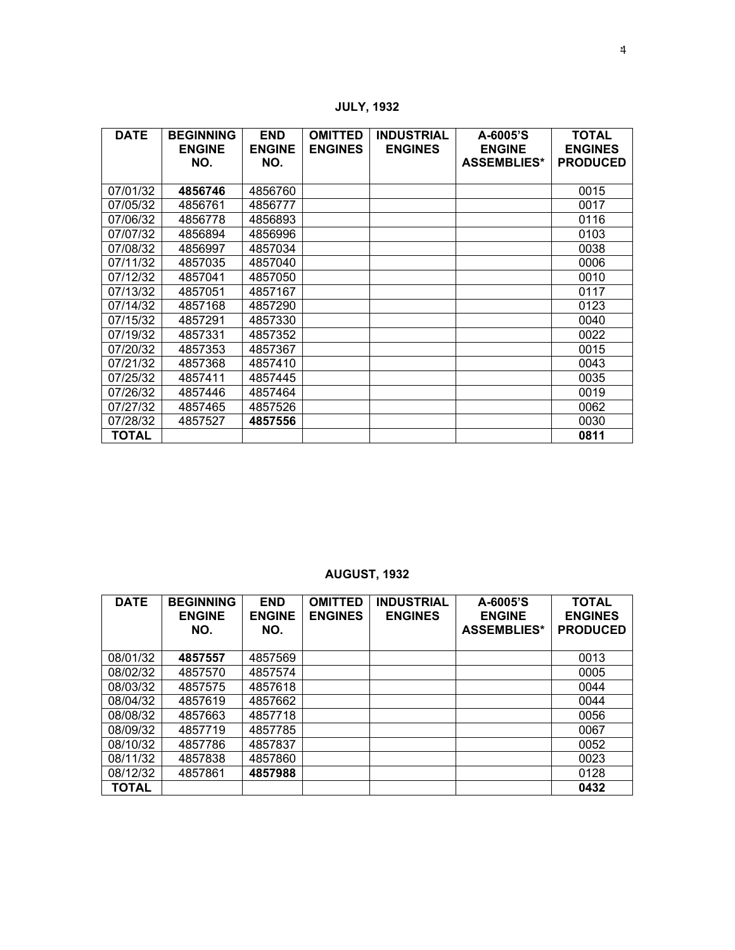**JULY, 1932** 

| <b>DATE</b>  | <b>BEGINNING</b><br><b>ENGINE</b><br>NO. | <b>END</b><br><b>ENGINE</b><br>NO. | <b>OMITTED</b><br><b>ENGINES</b> | <b>INDUSTRIAL</b><br><b>ENGINES</b> | A-6005'S<br><b>ENGINE</b><br><b>ASSEMBLIES*</b> | <b>TOTAL</b><br><b>ENGINES</b><br><b>PRODUCED</b> |
|--------------|------------------------------------------|------------------------------------|----------------------------------|-------------------------------------|-------------------------------------------------|---------------------------------------------------|
| 07/01/32     | 4856746                                  | 4856760                            |                                  |                                     |                                                 | 0015                                              |
| 07/05/32     | 4856761                                  | 4856777                            |                                  |                                     |                                                 | 0017                                              |
| 07/06/32     | 4856778                                  | 4856893                            |                                  |                                     |                                                 | 0116                                              |
| 07/07/32     | 4856894                                  | 4856996                            |                                  |                                     |                                                 | 0103                                              |
| 07/08/32     | 4856997                                  | 4857034                            |                                  |                                     |                                                 | 0038                                              |
| 07/11/32     | 4857035                                  | 4857040                            |                                  |                                     |                                                 | 0006                                              |
| 07/12/32     | 4857041                                  | 4857050                            |                                  |                                     |                                                 | 0010                                              |
| 07/13/32     | 4857051                                  | 4857167                            |                                  |                                     |                                                 | 0117                                              |
| 07/14/32     | 4857168                                  | 4857290                            |                                  |                                     |                                                 | 0123                                              |
| 07/15/32     | 4857291                                  | 4857330                            |                                  |                                     |                                                 | 0040                                              |
| 07/19/32     | 4857331                                  | 4857352                            |                                  |                                     |                                                 | 0022                                              |
| 07/20/32     | 4857353                                  | 4857367                            |                                  |                                     |                                                 | 0015                                              |
| 07/21/32     | 4857368                                  | 4857410                            |                                  |                                     |                                                 | 0043                                              |
| 07/25/32     | 4857411                                  | 4857445                            |                                  |                                     |                                                 | 0035                                              |
| 07/26/32     | 4857446                                  | 4857464                            |                                  |                                     |                                                 | 0019                                              |
| 07/27/32     | 4857465                                  | 4857526                            |                                  |                                     |                                                 | 0062                                              |
| 07/28/32     | 4857527                                  | 4857556                            |                                  |                                     |                                                 | 0030                                              |
| <b>TOTAL</b> |                                          |                                    |                                  |                                     |                                                 | 0811                                              |

# **AUGUST, 1932**

| <b>DATE</b>  | <b>BEGINNING</b><br><b>ENGINE</b><br>NO. | <b>END</b><br><b>ENGINE</b><br>NO. | <b>OMITTED</b><br><b>ENGINES</b> | <b>INDUSTRIAL</b><br><b>ENGINES</b> | A-6005'S<br><b>ENGINE</b><br><b>ASSEMBLIES*</b> | <b>TOTAL</b><br><b>ENGINES</b><br><b>PRODUCED</b> |
|--------------|------------------------------------------|------------------------------------|----------------------------------|-------------------------------------|-------------------------------------------------|---------------------------------------------------|
| 08/01/32     | 4857557                                  | 4857569                            |                                  |                                     |                                                 | 0013                                              |
| 08/02/32     | 4857570                                  | 4857574                            |                                  |                                     |                                                 | 0005                                              |
| 08/03/32     | 4857575                                  | 4857618                            |                                  |                                     |                                                 | 0044                                              |
| 08/04/32     | 4857619                                  | 4857662                            |                                  |                                     |                                                 | 0044                                              |
| 08/08/32     | 4857663                                  | 4857718                            |                                  |                                     |                                                 | 0056                                              |
| 08/09/32     | 4857719                                  | 4857785                            |                                  |                                     |                                                 | 0067                                              |
| 08/10/32     | 4857786                                  | 4857837                            |                                  |                                     |                                                 | 0052                                              |
| 08/11/32     | 4857838                                  | 4857860                            |                                  |                                     |                                                 | 0023                                              |
| 08/12/32     | 4857861                                  | 4857988                            |                                  |                                     |                                                 | 0128                                              |
| <b>TOTAL</b> |                                          |                                    |                                  |                                     |                                                 | 0432                                              |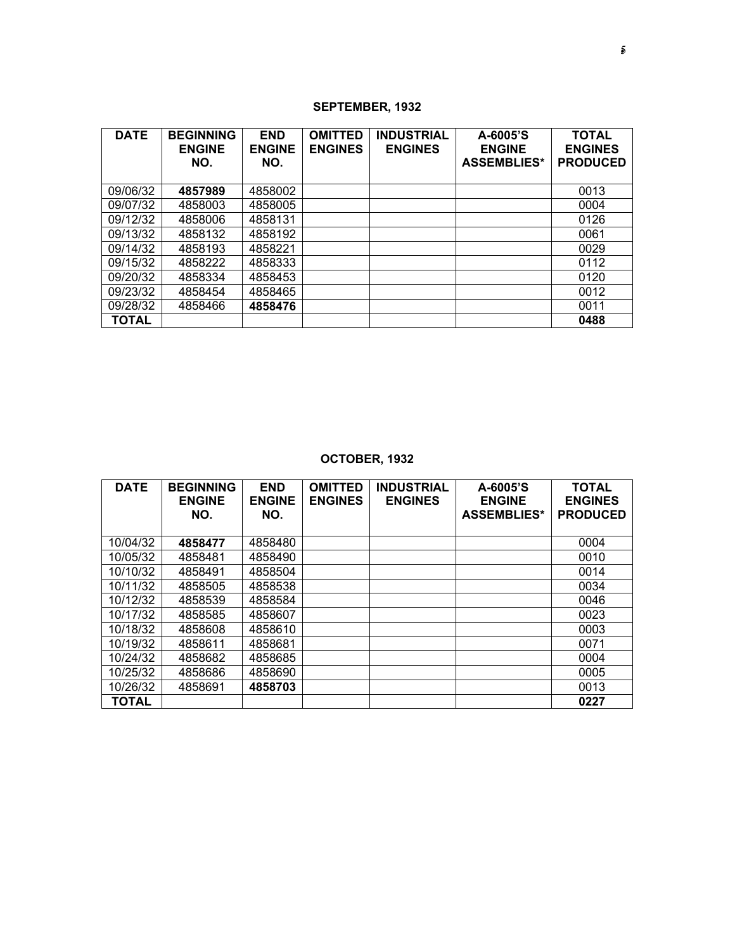## **SEPTEMBER, 1932**

| <b>DATE</b>  | <b>BEGINNING</b><br><b>ENGINE</b><br>NO. | <b>END</b><br><b>ENGINE</b><br>NO. | <b>OMITTED</b><br><b>ENGINES</b> | <b>INDUSTRIAL</b><br><b>ENGINES</b> | A-6005'S<br><b>ENGINE</b><br><b>ASSEMBLIES*</b> | <b>TOTAL</b><br><b>ENGINES</b><br><b>PRODUCED</b> |
|--------------|------------------------------------------|------------------------------------|----------------------------------|-------------------------------------|-------------------------------------------------|---------------------------------------------------|
| 09/06/32     | 4857989                                  | 4858002                            |                                  |                                     |                                                 | 0013                                              |
| 09/07/32     | 4858003                                  | 4858005                            |                                  |                                     |                                                 | 0004                                              |
| 09/12/32     | 4858006                                  | 4858131                            |                                  |                                     |                                                 | 0126                                              |
| 09/13/32     | 4858132                                  | 4858192                            |                                  |                                     |                                                 | 0061                                              |
| 09/14/32     | 4858193                                  | 4858221                            |                                  |                                     |                                                 | 0029                                              |
| 09/15/32     | 4858222                                  | 4858333                            |                                  |                                     |                                                 | 0112                                              |
| 09/20/32     | 4858334                                  | 4858453                            |                                  |                                     |                                                 | 0120                                              |
| 09/23/32     | 4858454                                  | 4858465                            |                                  |                                     |                                                 | 0012                                              |
| 09/28/32     | 4858466                                  | 4858476                            |                                  |                                     |                                                 | 0011                                              |
| <b>TOTAL</b> |                                          |                                    |                                  |                                     |                                                 | 0488                                              |

# **OCTOBER, 1932**

| <b>DATE</b>  | <b>BEGINNING</b><br><b>ENGINE</b><br>NO. | <b>END</b><br><b>ENGINE</b><br>NO. | <b>OMITTED</b><br><b>ENGINES</b> | <b>INDUSTRIAL</b><br><b>ENGINES</b> | A-6005'S<br><b>ENGINE</b><br><b>ASSEMBLIES*</b> | <b>TOTAL</b><br><b>ENGINES</b><br><b>PRODUCED</b> |
|--------------|------------------------------------------|------------------------------------|----------------------------------|-------------------------------------|-------------------------------------------------|---------------------------------------------------|
| 10/04/32     | 4858477                                  | 4858480                            |                                  |                                     |                                                 | 0004                                              |
| 10/05/32     | 4858481                                  | 4858490                            |                                  |                                     |                                                 | 0010                                              |
| 10/10/32     | 4858491                                  | 4858504                            |                                  |                                     |                                                 | 0014                                              |
| 10/11/32     | 4858505                                  | 4858538                            |                                  |                                     |                                                 | 0034                                              |
| 10/12/32     | 4858539                                  | 4858584                            |                                  |                                     |                                                 | 0046                                              |
| 10/17/32     | 4858585                                  | 4858607                            |                                  |                                     |                                                 | 0023                                              |
| 10/18/32     | 4858608                                  | 4858610                            |                                  |                                     |                                                 | 0003                                              |
| 10/19/32     | 4858611                                  | 4858681                            |                                  |                                     |                                                 | 0071                                              |
| 10/24/32     | 4858682                                  | 4858685                            |                                  |                                     |                                                 | 0004                                              |
| 10/25/32     | 4858686                                  | 4858690                            |                                  |                                     |                                                 | 0005                                              |
| 10/26/32     | 4858691                                  | 4858703                            |                                  |                                     |                                                 | 0013                                              |
| <b>TOTAL</b> |                                          |                                    |                                  |                                     |                                                 | 0227                                              |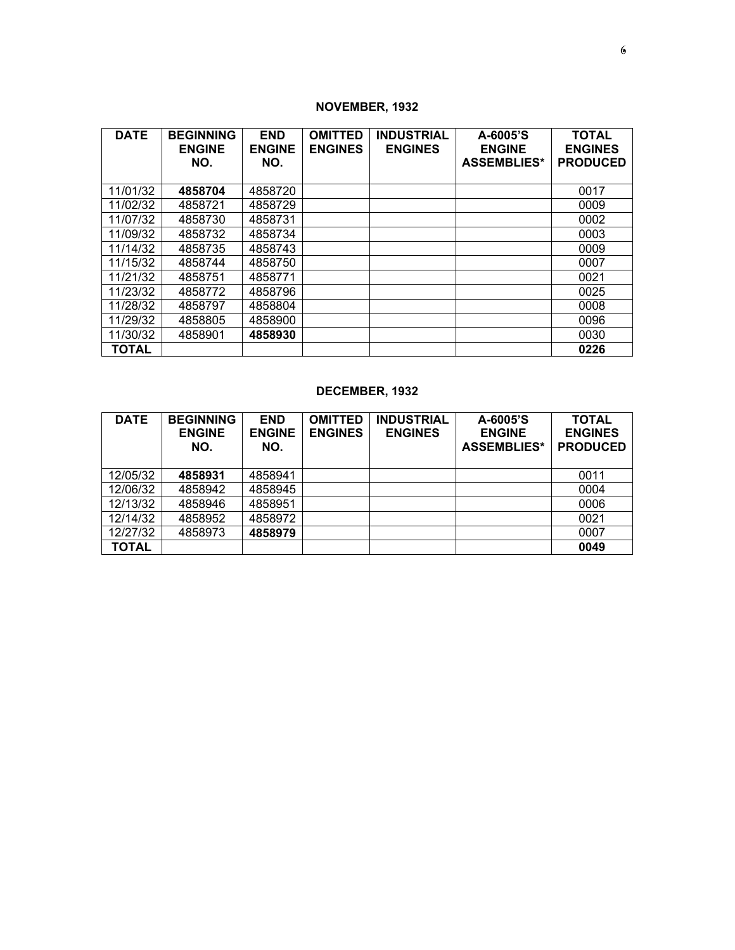## **NOVEMBER, 1932**

| <b>DATE</b>  | <b>BEGINNING</b><br><b>ENGINE</b><br>NO. | <b>END</b><br><b>ENGINE</b><br>NO. | <b>OMITTED</b><br><b>ENGINES</b> | <b>INDUSTRIAL</b><br><b>ENGINES</b> | A-6005'S<br><b>ENGINE</b><br><b>ASSEMBLIES*</b> | <b>TOTAL</b><br><b>ENGINES</b><br><b>PRODUCED</b> |
|--------------|------------------------------------------|------------------------------------|----------------------------------|-------------------------------------|-------------------------------------------------|---------------------------------------------------|
| 11/01/32     | 4858704                                  | 4858720                            |                                  |                                     |                                                 | 0017                                              |
| 11/02/32     | 4858721                                  | 4858729                            |                                  |                                     |                                                 | 0009                                              |
| 11/07/32     | 4858730                                  | 4858731                            |                                  |                                     |                                                 | 0002                                              |
| 11/09/32     | 4858732                                  | 4858734                            |                                  |                                     |                                                 | 0003                                              |
| 11/14/32     | 4858735                                  | 4858743                            |                                  |                                     |                                                 | 0009                                              |
| 11/15/32     | 4858744                                  | 4858750                            |                                  |                                     |                                                 | 0007                                              |
| 11/21/32     | 4858751                                  | 4858771                            |                                  |                                     |                                                 | 0021                                              |
| 11/23/32     | 4858772                                  | 4858796                            |                                  |                                     |                                                 | 0025                                              |
| 11/28/32     | 4858797                                  | 4858804                            |                                  |                                     |                                                 | 0008                                              |
| 11/29/32     | 4858805                                  | 4858900                            |                                  |                                     |                                                 | 0096                                              |
| 11/30/32     | 4858901                                  | 4858930                            |                                  |                                     |                                                 | 0030                                              |
| <b>TOTAL</b> |                                          |                                    |                                  |                                     |                                                 | 0226                                              |

## **DECEMBER, 1932**

| <b>DATE</b>  | <b>BEGINNING</b><br><b>ENGINE</b><br>NO. | <b>END</b><br><b>ENGINE</b><br>NO. | <b>OMITTED</b><br><b>ENGINES</b> | <b>INDUSTRIAL</b><br><b>ENGINES</b> | A-6005'S<br><b>ENGINE</b><br><b>ASSEMBLIES*</b> | <b>TOTAL</b><br><b>ENGINES</b><br><b>PRODUCED</b> |
|--------------|------------------------------------------|------------------------------------|----------------------------------|-------------------------------------|-------------------------------------------------|---------------------------------------------------|
| 12/05/32     | 4858931                                  | 4858941                            |                                  |                                     |                                                 | 0011                                              |
| 12/06/32     | 4858942                                  | 4858945                            |                                  |                                     |                                                 | 0004                                              |
| 12/13/32     | 4858946                                  | 4858951                            |                                  |                                     |                                                 | 0006                                              |
| 12/14/32     | 4858952                                  | 4858972                            |                                  |                                     |                                                 | 0021                                              |
| 12/27/32     | 4858973                                  | 4858979                            |                                  |                                     |                                                 | 0007                                              |
| <b>TOTAL</b> |                                          |                                    |                                  |                                     |                                                 | 0049                                              |